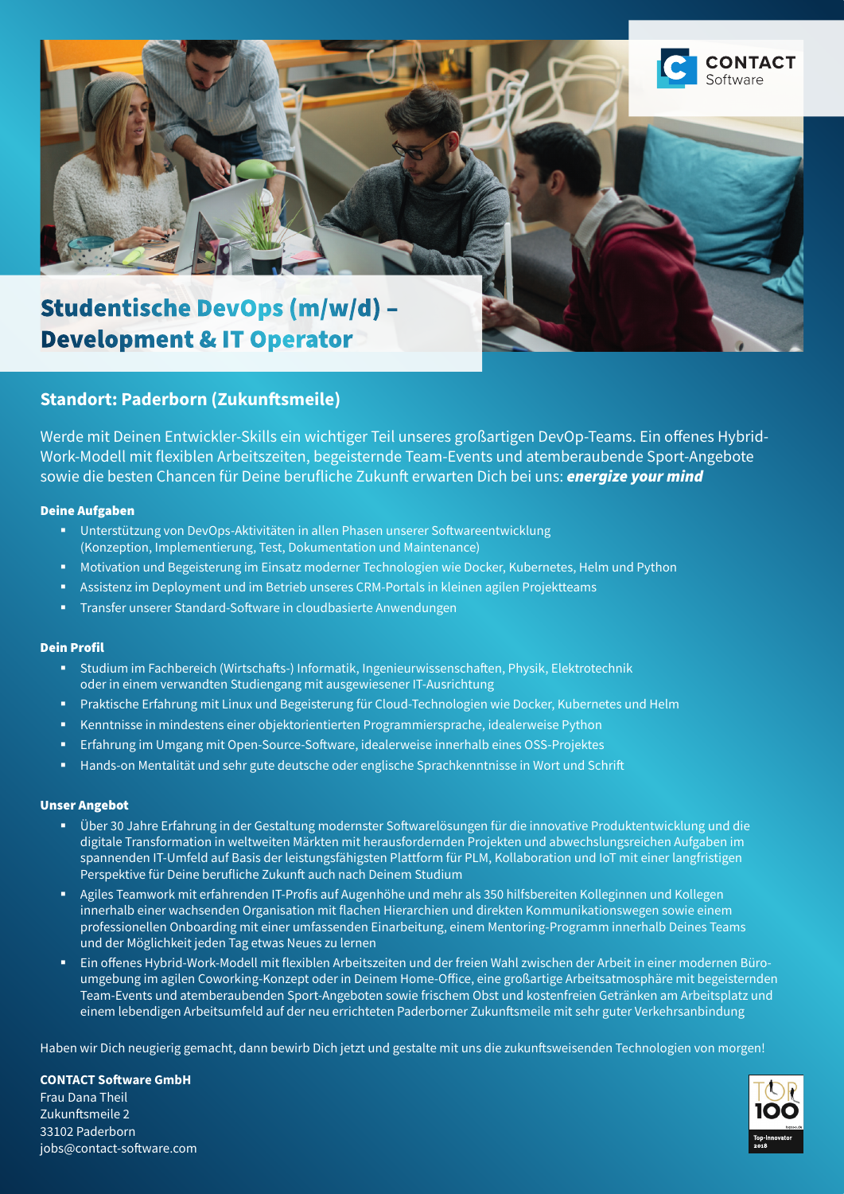

# Studentische DevOps (m/w/d) – Development & IT Operator

## **Standort: Paderborn (Zukunftsmeile)**

Werde mit Deinen Entwickler-Skills ein wichtiger Teil unseres großartigen DevOp-Teams. Ein offenes Hybrid-Work-Modell mit flexiblen Arbeitszeiten, begeisternde Team-Events und atemberaubende Sport-Angebote sowie die besten Chancen für Deine berufliche Zukunft erwarten Dich bei uns: *energize your mind*

### Deine Aufgaben

- Unterstützung von DevOps-Aktivitäten in allen Phasen unserer Softwareentwicklung (Konzeption, Implementierung, Test, Dokumentation und Maintenance)
- **Motivation und Begeisterung im Einsatz moderner Technologien wie Docker, Kubernetes, Helm und Python**
- Assistenz im Deployment und im Betrieb unseres CRM-Portals in kleinen agilen Projektteams
- **Transfer unserer Standard-Software in cloudbasierte Anwendungen**

### Dein Profil

- **Studium im Fachbereich (Wirtschafts-) Informatik, Ingenieurwissenschaften, Physik, Elektrotechnik** oder in einem verwandten Studiengang mit ausgewiesener IT-Ausrichtung
- Praktische Erfahrung mit Linux und Begeisterung für Cloud-Technologien wie Docker, Kubernetes und Helm
- Kenntnisse in mindestens einer objektorientierten Programmiersprache, idealerweise Python
- Erfahrung im Umgang mit Open-Source-Software, idealerweise innerhalb eines OSS-Projektes
- **Hands-on Mentalität und sehr gute deutsche oder englische Sprachkenntnisse in Wort und Schrift**

#### Unser Angebot

- Über 30 Jahre Erfahrung in der Gestaltung modernster Softwarelösungen für die innovative Produktentwicklung und die digitale Transformation in weltweiten Märkten mit herausfordernden Projekten und abwechslungsreichen Aufgaben im spannenden IT-Umfeld auf Basis der leistungsfähigsten Plattform für PLM, Kollaboration und IoT mit einer langfristigen Perspektive für Deine berufliche Zukunft auch nach Deinem Studium
- Agiles Teamwork mit erfahrenden IT-Profis auf Augenhöhe und mehr als 350 hilfsbereiten Kolleginnen und Kollegen innerhalb einer wachsenden Organisation mit flachen Hierarchien und direkten Kommunikationswegen sowie einem professionellen Onboarding mit einer umfassenden Einarbeitung, einem Mentoring-Programm innerhalb Deines Teams und der Möglichkeit jeden Tag etwas Neues zu lernen
- Ein offenes Hybrid-Work-Modell mit flexiblen Arbeitszeiten und der freien Wahl zwischen der Arbeit in einer modernen Büroumgebung im agilen Coworking-Konzept oder in Deinem Home-Office, eine großartige Arbeitsatmosphäre mit begeisternden Team-Events und atemberaubenden Sport-Angeboten sowie frischem Obst und kostenfreien Getränken am Arbeitsplatz und einem lebendigen Arbeitsumfeld auf der neu errichteten Paderborner Zukunftsmeile mit sehr guter Verkehrsanbindung

Haben wir Dich neugierig gemacht, dann bewirb Dich jetzt und gestalte mit uns die zukunftsweisenden Technologien von morgen!

**CONTACT Software GmbH** Frau Dana Theil Zukunftsmeile 2 33102 Paderborn jobs@contact-software.com